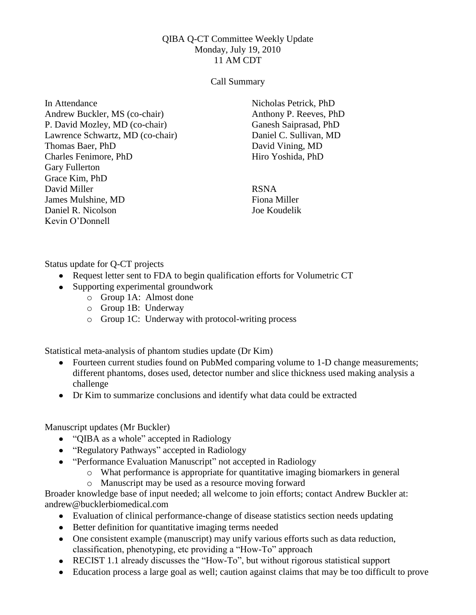## QIBA Q-CT Committee Weekly Update Monday, July 19, 2010 11 AM CDT

## Call Summary

In Attendance Andrew Buckler, MS (co-chair) P. David Mozley, MD (co-chair) Lawrence Schwartz, MD (co-chair) Thomas Baer, PhD Charles Fenimore, PhD Gary Fullerton Grace Kim, PhD David Miller James Mulshine, MD Daniel R. Nicolson Kevin O'Donnell

Nicholas Petrick, PhD Anthony P. Reeves, PhD Ganesh Saiprasad, PhD Daniel C. Sullivan, MD David Vining, MD Hiro Yoshida, PhD

RSNA Fiona Miller Joe Koudelik

Status update for Q-CT projects

- Request letter sent to FDA to begin qualification efforts for Volumetric CT
- Supporting experimental groundwork
	- o Group 1A: Almost done
	- o Group 1B: Underway
	- o Group 1C: Underway with protocol-writing process

Statistical meta-analysis of phantom studies update (Dr Kim)

- Fourteen current studies found on PubMed comparing volume to 1-D change measurements; different phantoms, doses used, detector number and slice thickness used making analysis a challenge
- Dr Kim to summarize conclusions and identify what data could be extracted

## Manuscript updates (Mr Buckler)

- "QIBA as a whole" accepted in Radiology
- "Regulatory Pathways" accepted in Radiology
- "Performance Evaluation Manuscript" not accepted in Radiology
	- o What performance is appropriate for quantitative imaging biomarkers in general
	- o Manuscript may be used as a resource moving forward

Broader knowledge base of input needed; all welcome to join efforts; contact Andrew Buckler at: andrew@bucklerbiomedical.com

- Evaluation of clinical performance-change of disease statistics section needs updating
- Better definition for quantitative imaging terms needed
- One consistent example (manuscript) may unify various efforts such as data reduction, classification, phenotyping, etc providing a "How-To" approach
- RECIST 1.1 already discusses the "How-To", but without rigorous statistical support
- Education process a large goal as well; caution against claims that may be too difficult to prove